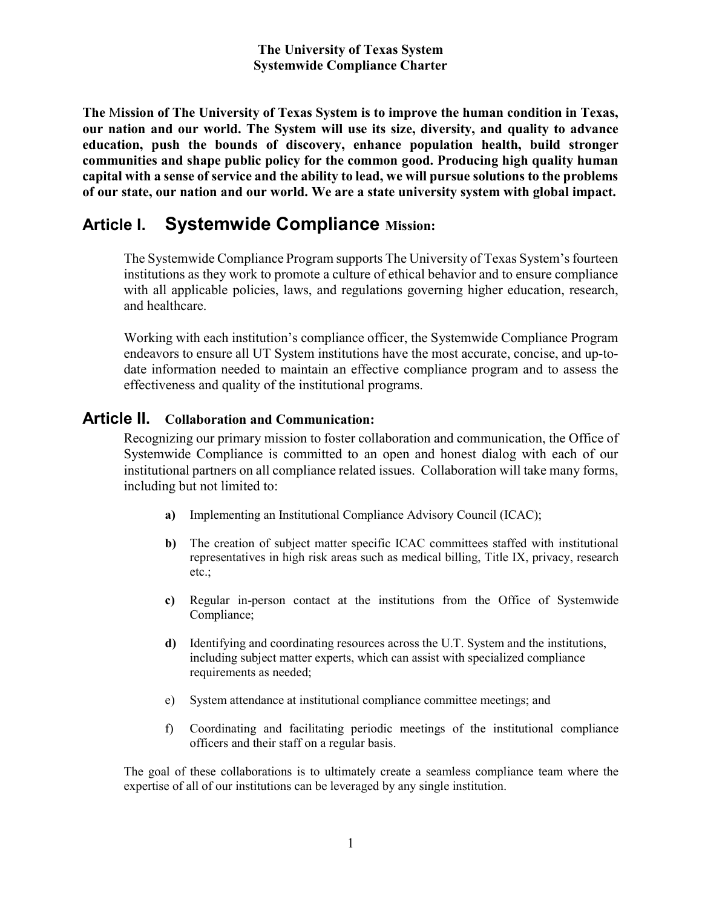The Mission of The University of Texas System is to improve the human condition in Texas, our nation and our world. The System will use its size, diversity, and quality to advance education, push the bounds of discovery, enhance population health, build stronger communities and shape public policy for the common good. Producing high quality human capital with a sense of service and the ability to lead, we will pursue solutions to the problems of our state, our nation and our world. We are a state university system with global impact.

# Article I. Systemwide Compliance Mission:

The Systemwide Compliance Program supports The University of Texas System's fourteen institutions as they work to promote a culture of ethical behavior and to ensure compliance with all applicable policies, laws, and regulations governing higher education, research, and healthcare.

Working with each institution's compliance officer, the Systemwide Compliance Program endeavors to ensure all UT System institutions have the most accurate, concise, and up-todate information needed to maintain an effective compliance program and to assess the effectiveness and quality of the institutional programs.

# Article II. Collaboration and Communication:

Recognizing our primary mission to foster collaboration and communication, the Office of Systemwide Compliance is committed to an open and honest dialog with each of our institutional partners on all compliance related issues. Collaboration will take many forms, including but not limited to:

- a) Implementing an Institutional Compliance Advisory Council (ICAC);
- b) The creation of subject matter specific ICAC committees staffed with institutional representatives in high risk areas such as medical billing, Title IX, privacy, research etc.;
- c) Regular in-person contact at the institutions from the Office of Systemwide Compliance;
- d) Identifying and coordinating resources across the U.T. System and the institutions, including subject matter experts, which can assist with specialized compliance requirements as needed;
- e) System attendance at institutional compliance committee meetings; and
- f) Coordinating and facilitating periodic meetings of the institutional compliance officers and their staff on a regular basis.

The goal of these collaborations is to ultimately create a seamless compliance team where the expertise of all of our institutions can be leveraged by any single institution.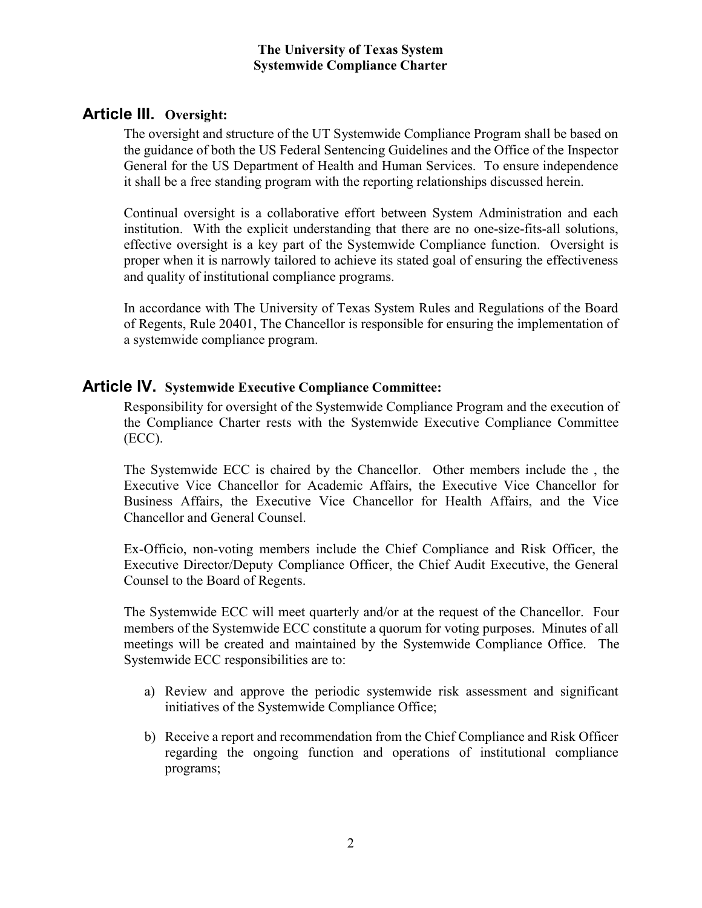# Article III. Oversight:

The oversight and structure of the UT Systemwide Compliance Program shall be based on the guidance of both the US Federal Sentencing Guidelines and the Office of the Inspector General for the US Department of Health and Human Services. To ensure independence it shall be a free standing program with the reporting relationships discussed herein.

Continual oversight is a collaborative effort between System Administration and each institution. With the explicit understanding that there are no one-size-fits-all solutions, effective oversight is a key part of the Systemwide Compliance function. Oversight is proper when it is narrowly tailored to achieve its stated goal of ensuring the effectiveness and quality of institutional compliance programs.

In accordance with The University of Texas System Rules and Regulations of the Board of Regents, Rule 20401, The Chancellor is responsible for ensuring the implementation of a systemwide compliance program.

# Article IV. Systemwide Executive Compliance Committee:

Responsibility for oversight of the Systemwide Compliance Program and the execution of the Compliance Charter rests with the Systemwide Executive Compliance Committee (ECC).

The Systemwide ECC is chaired by the Chancellor. Other members include the , the Executive Vice Chancellor for Academic Affairs, the Executive Vice Chancellor for Business Affairs, the Executive Vice Chancellor for Health Affairs, and the Vice Chancellor and General Counsel.

Ex-Officio, non-voting members include the Chief Compliance and Risk Officer, the Executive Director/Deputy Compliance Officer, the Chief Audit Executive, the General Counsel to the Board of Regents.

The Systemwide ECC will meet quarterly and/or at the request of the Chancellor. Four members of the Systemwide ECC constitute a quorum for voting purposes. Minutes of all meetings will be created and maintained by the Systemwide Compliance Office. The Systemwide ECC responsibilities are to:

- a) Review and approve the periodic systemwide risk assessment and significant initiatives of the Systemwide Compliance Office;
- b) Receive a report and recommendation from the Chief Compliance and Risk Officer regarding the ongoing function and operations of institutional compliance programs;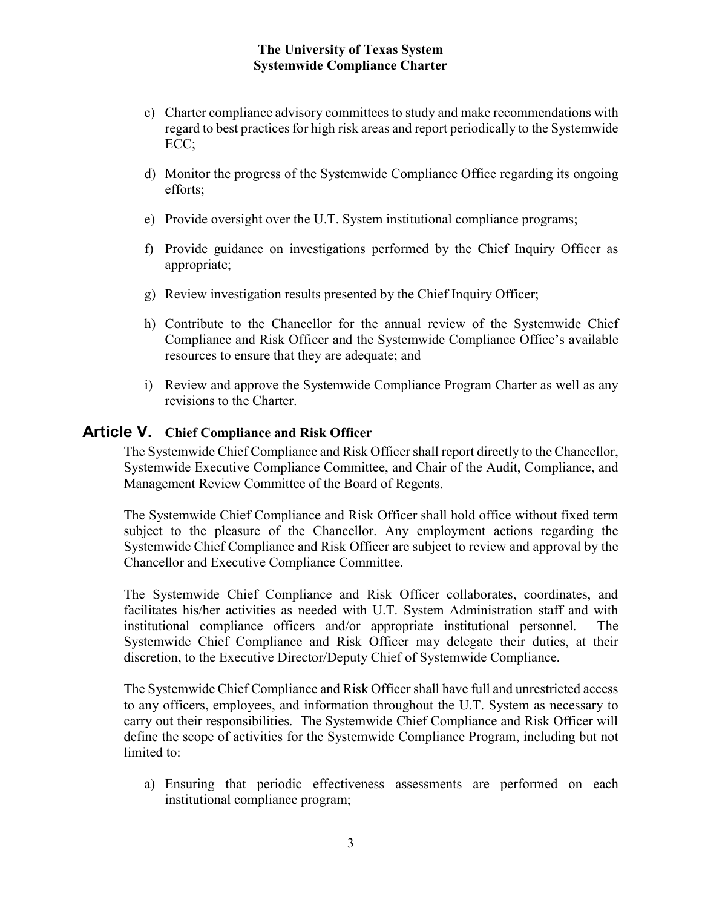- c) Charter compliance advisory committees to study and make recommendations with regard to best practices for high risk areas and report periodically to the Systemwide ECC;
- d) Monitor the progress of the Systemwide Compliance Office regarding its ongoing efforts;
- e) Provide oversight over the U.T. System institutional compliance programs;
- f) Provide guidance on investigations performed by the Chief Inquiry Officer as appropriate;
- g) Review investigation results presented by the Chief Inquiry Officer;
- h) Contribute to the Chancellor for the annual review of the Systemwide Chief Compliance and Risk Officer and the Systemwide Compliance Office's available resources to ensure that they are adequate; and
- i) Review and approve the Systemwide Compliance Program Charter as well as any revisions to the Charter.

### Article V. Chief Compliance and Risk Officer

The Systemwide Chief Compliance and Risk Officer shall report directly to the Chancellor, Systemwide Executive Compliance Committee, and Chair of the Audit, Compliance, and Management Review Committee of the Board of Regents.

The Systemwide Chief Compliance and Risk Officer shall hold office without fixed term subject to the pleasure of the Chancellor. Any employment actions regarding the Systemwide Chief Compliance and Risk Officer are subject to review and approval by the Chancellor and Executive Compliance Committee.

The Systemwide Chief Compliance and Risk Officer collaborates, coordinates, and facilitates his/her activities as needed with U.T. System Administration staff and with institutional compliance officers and/or appropriate institutional personnel. The Systemwide Chief Compliance and Risk Officer may delegate their duties, at their discretion, to the Executive Director/Deputy Chief of Systemwide Compliance.

The Systemwide Chief Compliance and Risk Officer shall have full and unrestricted access to any officers, employees, and information throughout the U.T. System as necessary to carry out their responsibilities. The Systemwide Chief Compliance and Risk Officer will define the scope of activities for the Systemwide Compliance Program, including but not limited to:

a) Ensuring that periodic effectiveness assessments are performed on each institutional compliance program;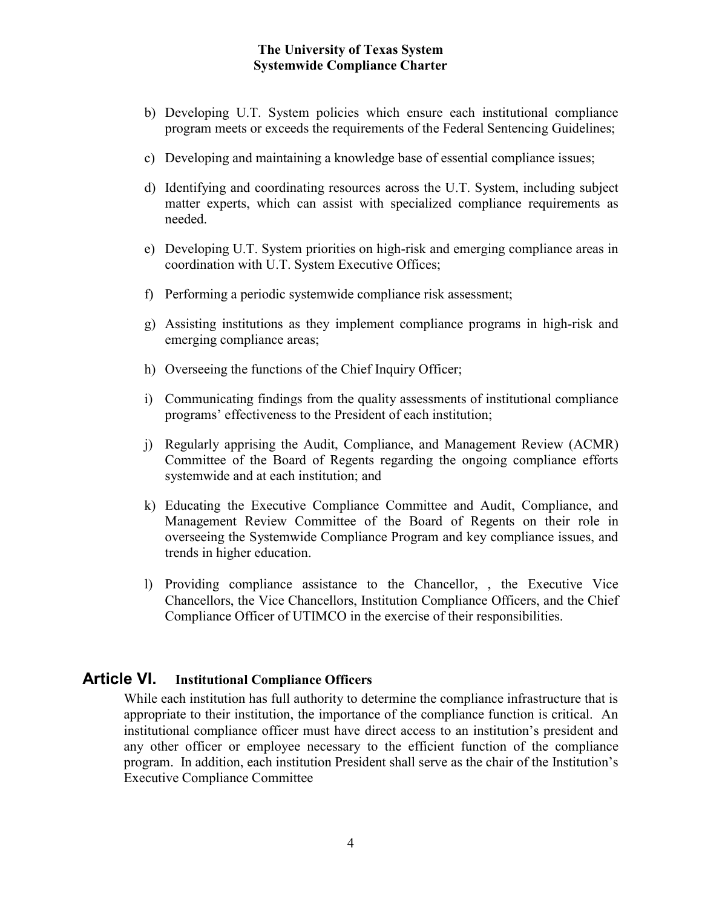- b) Developing U.T. System policies which ensure each institutional compliance program meets or exceeds the requirements of the Federal Sentencing Guidelines;
- c) Developing and maintaining a knowledge base of essential compliance issues;
- d) Identifying and coordinating resources across the U.T. System, including subject matter experts, which can assist with specialized compliance requirements as needed.
- e) Developing U.T. System priorities on high-risk and emerging compliance areas in coordination with U.T. System Executive Offices;
- f) Performing a periodic systemwide compliance risk assessment;
- g) Assisting institutions as they implement compliance programs in high-risk and emerging compliance areas;
- h) Overseeing the functions of the Chief Inquiry Officer;
- i) Communicating findings from the quality assessments of institutional compliance programs' effectiveness to the President of each institution;
- j) Regularly apprising the Audit, Compliance, and Management Review (ACMR) Committee of the Board of Regents regarding the ongoing compliance efforts systemwide and at each institution; and
- k) Educating the Executive Compliance Committee and Audit, Compliance, and Management Review Committee of the Board of Regents on their role in overseeing the Systemwide Compliance Program and key compliance issues, and trends in higher education.
- l) Providing compliance assistance to the Chancellor, , the Executive Vice Chancellors, the Vice Chancellors, Institution Compliance Officers, and the Chief Compliance Officer of UTIMCO in the exercise of their responsibilities.

### Article VI. Institutional Compliance Officers

While each institution has full authority to determine the compliance infrastructure that is appropriate to their institution, the importance of the compliance function is critical. An institutional compliance officer must have direct access to an institution's president and any other officer or employee necessary to the efficient function of the compliance program. In addition, each institution President shall serve as the chair of the Institution's Executive Compliance Committee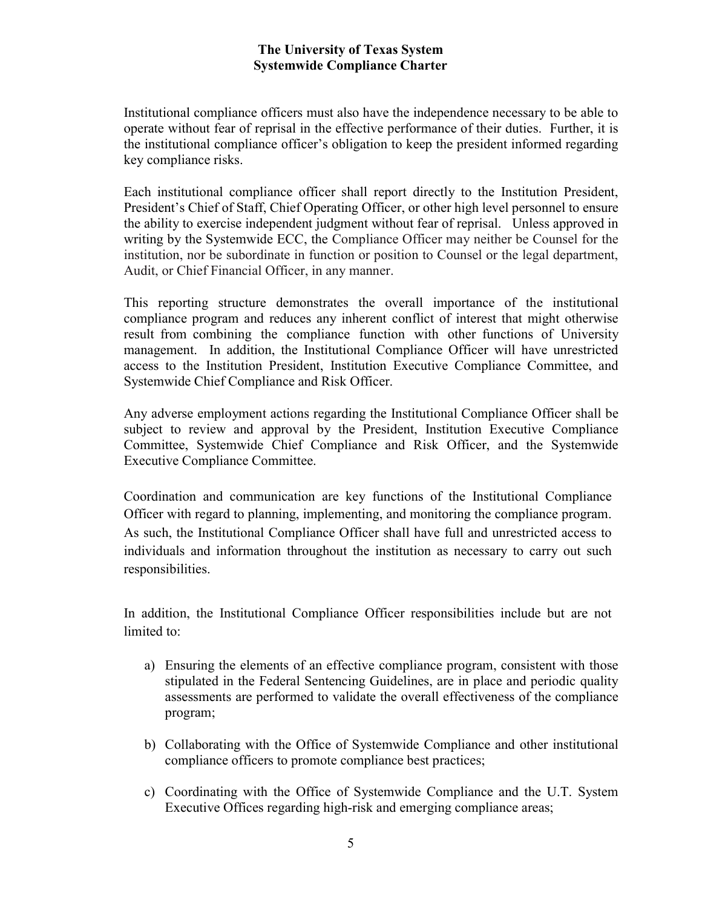Institutional compliance officers must also have the independence necessary to be able to operate without fear of reprisal in the effective performance of their duties. Further, it is the institutional compliance officer's obligation to keep the president informed regarding key compliance risks.

Each institutional compliance officer shall report directly to the Institution President, President's Chief of Staff, Chief Operating Officer, or other high level personnel to ensure the ability to exercise independent judgment without fear of reprisal. Unless approved in writing by the Systemwide ECC, the Compliance Officer may neither be Counsel for the institution, nor be subordinate in function or position to Counsel or the legal department, Audit, or Chief Financial Officer, in any manner.

This reporting structure demonstrates the overall importance of the institutional compliance program and reduces any inherent conflict of interest that might otherwise result from combining the compliance function with other functions of University management. In addition, the Institutional Compliance Officer will have unrestricted access to the Institution President, Institution Executive Compliance Committee, and Systemwide Chief Compliance and Risk Officer.

Any adverse employment actions regarding the Institutional Compliance Officer shall be subject to review and approval by the President, Institution Executive Compliance Committee, Systemwide Chief Compliance and Risk Officer, and the Systemwide Executive Compliance Committee.

Coordination and communication are key functions of the Institutional Compliance Officer with regard to planning, implementing, and monitoring the compliance program. As such, the Institutional Compliance Officer shall have full and unrestricted access to individuals and information throughout the institution as necessary to carry out such responsibilities.

In addition, the Institutional Compliance Officer responsibilities include but are not limited to:

- a) Ensuring the elements of an effective compliance program, consistent with those stipulated in the Federal Sentencing Guidelines, are in place and periodic quality assessments are performed to validate the overall effectiveness of the compliance program;
- b) Collaborating with the Office of Systemwide Compliance and other institutional compliance officers to promote compliance best practices;
- c) Coordinating with the Office of Systemwide Compliance and the U.T. System Executive Offices regarding high-risk and emerging compliance areas;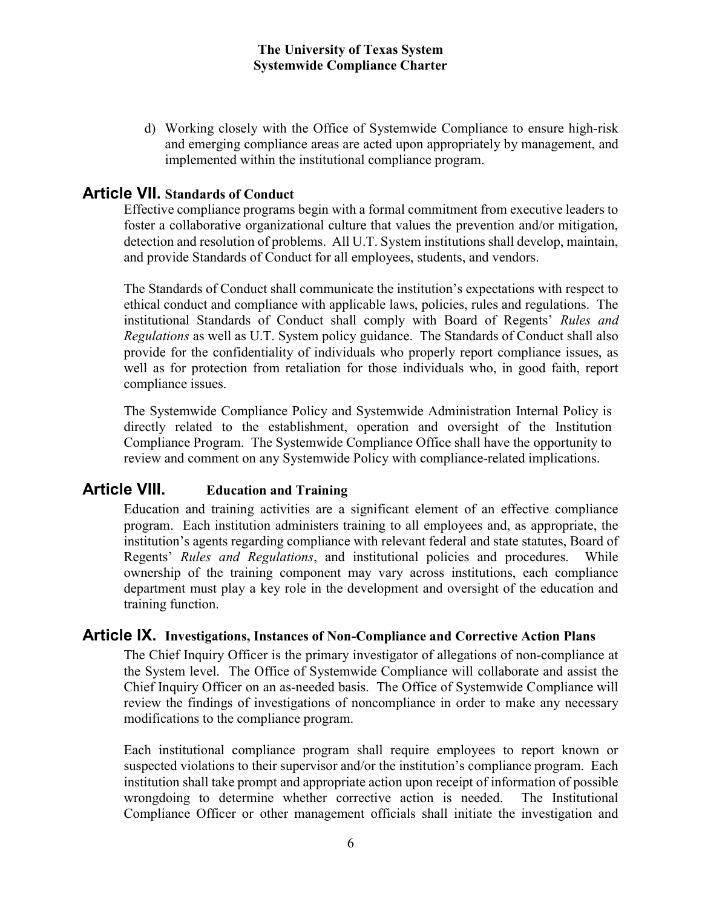d) Working closely with the Office of Systemwide Compliance to ensure high-risk and emerging compliance areas are acted upon appropriately by management, and implemented within the institutional compliance program.

### Article VII. Standards of Conduct

Effective compliance programs begin with a formal commitment from executive leaders to foster a collaborative organizational culture that values the prevention and/or mitigation, detection and resolution of problems. All U.T. System institutions shall develop, maintain, and provide Standards of Conduct for all employees, students, and vendors.

The Standards of Conduct shall communicate the institution's expectations with respect to ethical conduct and compliance with applicable laws, policies, rules and regulations. The institutional Standards of Conduct shall comply with Board of Regents' Rules and Regulations as well as U.T. System policy guidance. The Standards of Conduct shall also provide for the confidentiality of individuals who properly report compliance issues, as well as for protection from retaliation for those individuals who, in good faith, report compliance issues.

The Systemwide Compliance Policy and Systemwide Administration Internal Policy is directly related to the establishment, operation and oversight of the Institution Compliance Program. The Systemwide Compliance Office shall have the opportunity to review and comment on any Systemwide Policy with compliance-related implications.

# Article VIII. Education and Training

Education and training activities are a significant element of an effective compliance program. Each institution administers training to all employees and, as appropriate, the institution's agents regarding compliance with relevant federal and state statutes, Board of Regents' Rules and Regulations, and institutional policies and procedures. While ownership of the training component may vary across institutions, each compliance department must play a key role in the development and oversight of the education and training function.

### Article IX. Investigations, Instances of Non-Compliance and Corrective Action Plans

The Chief Inquiry Officer is the primary investigator of allegations of non-compliance at the System level. The Office of Systemwide Compliance will collaborate and assist the Chief Inquiry Officer on an as-needed basis. The Office of Systemwide Compliance will review the findings of investigations of noncompliance in order to make any necessary modifications to the compliance program.

Each institutional compliance program shall require employees to report known or suspected violations to their supervisor and/or the institution's compliance program. Each institution shall take prompt and appropriate action upon receipt of information of possible wrongdoing to determine whether corrective action is needed. The Institutional Compliance Officer or other management officials shall initiate the investigation and